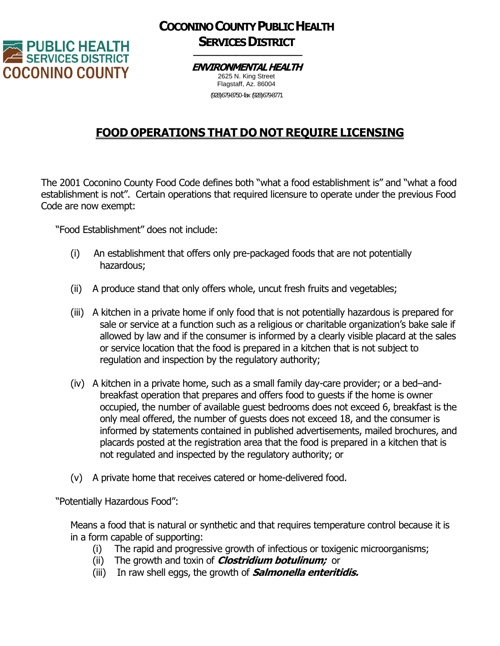

## **COCONINO COUNTY PUBLIC HEALTH SERVICES DISTRICT**

## **ENVIRONMENTAL HEALTH** 2625 N. King Street

Flagstaff, Az. 86004 (928)679-8750 -fax (928)679-8771

## **FOOD OPERATIONS THAT DO NOT REQUIRE LICENSING**

The 2001 Coconino County Food Code defines both "what a food establishment is" and "what a food establishment is not". Certain operations that required licensure to operate under the previous Food Code are now exempt:

"Food Establishment" does not include:

- (i) An establishment that offers only pre-packaged foods that are not potentially hazardous;
- (ii) A produce stand that only offers whole, uncut fresh fruits and vegetables;
- (iii) A kitchen in a private home if only food that is not potentially hazardous is prepared for sale or service at a function such as a religious or charitable organization's bake sale if allowed by law and if the consumer is informed by a clearly visible placard at the sales or service location that the food is prepared in a kitchen that is not subject to regulation and inspection by the regulatory authority;
- (iv) A kitchen in a private home, such as a small family day-care provider; or a bed–andbreakfast operation that prepares and offers food to guests if the home is owner occupied, the number of available guest bedrooms does not exceed 6, breakfast is the only meal offered, the number of guests does not exceed 18, and the consumer is informed by statements contained in published advertisements, mailed brochures, and placards posted at the registration area that the food is prepared in a kitchen that is not regulated and inspected by the regulatory authority; or
- (v) A private home that receives catered or home-delivered food.

"Potentially Hazardous Food":

Means a food that is natural or synthetic and that requires temperature control because it is in a form capable of supporting:

- (i) The rapid and progressive growth of infectious or toxigenic microorganisms;
- (ii) The growth and toxin of **Clostridium botulinum;** or
- (iii) In raw shell eggs, the growth of **Salmonella enteritidis.**